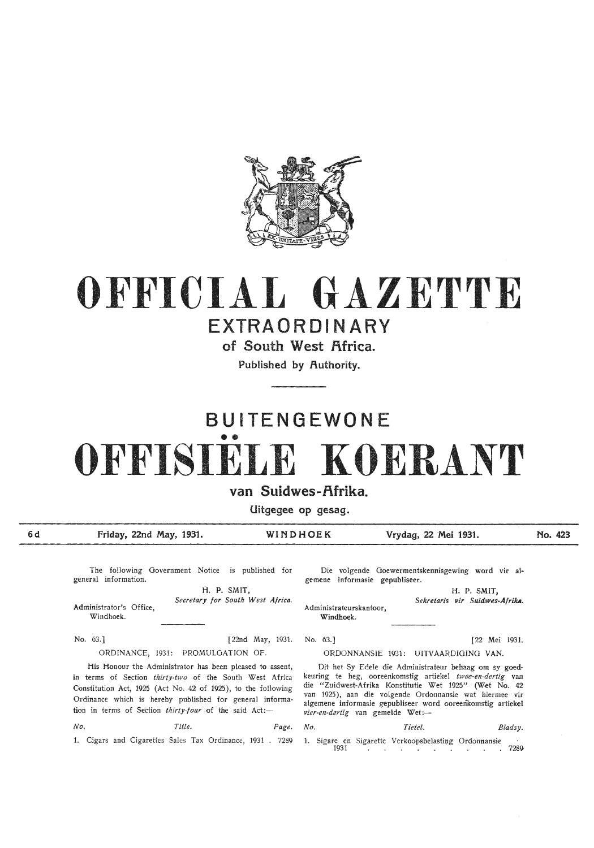

# **OFFICIAL GAZETTE**

### **EXTRAORDINARY**

of South West Africa.

**Published by Authority.** 

## **BUITENGEWONE**  •• **OFFISIELE KOERANT**

#### **van Suidwes-f\frika.**

**Uitgegee op gesag.** 

**Friday, 22nd May, 1931. WINDHOEK Vrydag, 22 Mei 1931. No. 423** 

No. 63.]

The following Government Notice is published for general information.

Administrator's Office, Windhoek. H. P. SMIT, *Secretary for South West Africa.* 

No. 63.] [22nd May, 1931. ORDINANCE, 1931: PROMULGATION OF.

His Honour the Administrator has been pleased to assent, in terms of Section *thirty-two* of the South West Africa Constitution Act, 1925 (Act No. 42 of 1925 ), to the following Ordinance which is hereby published for general information in terms of Section thirty-four of the said Act:-

*No. Title. Page. No. Tietel. Bladsy.* 

Die volgende Goewermentskennisgewing word vir algemene informasie gepubliseer.

Administrateurskantoor, Windhoek. H. P. SMIT, *Sekretaris vir Suidwes-Afrika.* 

ORDONNANSIE 1931: UITVAARDIGING VAN.

[22 Mei 1931.

Dit het Sy Edele die Administrateur behaag om sy goedkeuring te heg, ooreenkomstig artiekel twee-en-dertig van die "Zuidwest-Afrika Konstitutie Wet 1925" (Wet No. 42 van 1925), aan die volgende Ordonnansie wat hiermee vir algemene informasie gepubliseer word ooreenkomstig artiekel vier-en-dertig van gemelde Wet:-

1. Cigars and Cigarettes Sales Tax Ordinance, 1931 . 7289 1. Sigare en Sigarette Verkoopsbelasting Ordonnansie 1931

**6d**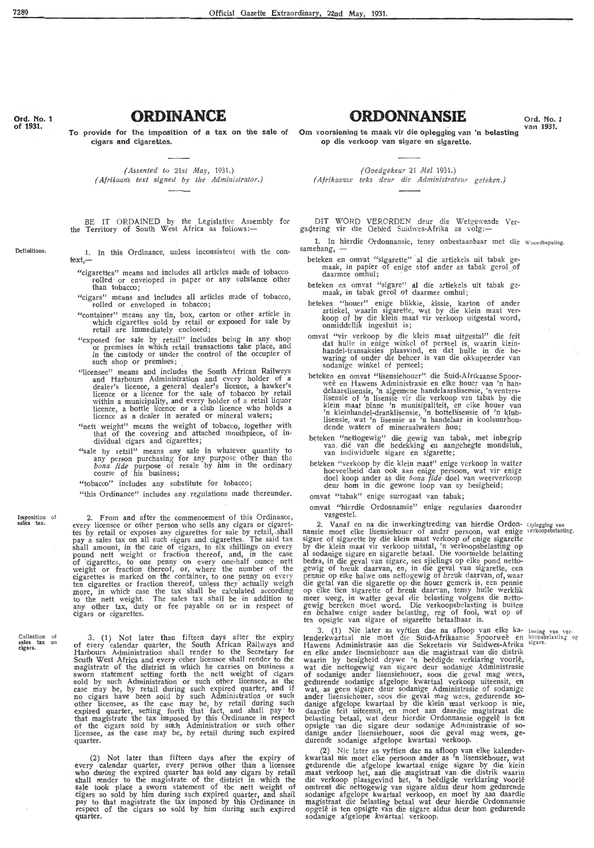cigars **and** cigarettes.

**ORDINANCE** 

*(Assented to 21st May, 1931.) ( Afrikaans text signed by tile Administrator.)* 

BE IT ORDAINED by the Legislative Assembly for the Territory of South West Africa as follows:-

1. In this Ordinance, unless inconsistent with the context,-

- "cigarettes" means and includes all articles made of tobacco rolled· or enveloped in paper or any substance other than tobacco ;
- " cigars" means and includes all articles made of tobacco, rolled or enveloped in tobacco;
- "container" means any tin, box, carton or other article in which cigarettes sold by retail or exposed for sale by retail are immediately enclosed;
- "exposed for sale by retail" includes being in any shop or premises in which retail transactions take plac~, and in the custody or under the control of the occupier of such shop or premises;
- " licensee" means and includes the South African Railways and Harbours Administration and every holder of a<br>dealer's licence, a general dealer's licence, a hawker's licence or a licence for the sale of tobacco by retail within a municipality, and every holder of a retail liquor<br>licence, a bottle licence or a club licence who holds a<br>licence as a dealer in aerated or mineral waters;
- "nett weight" means the weight of tobacco, together with that of the covering and attached mouthpiece, of in-<br>dividual cigars and cigarettes;
- "sale by retail" means any sale in whatever quantity to any person purchasing for any purpose other than the *bona fide* purpose of resale by him in the ordinary course of his business;

"tobacco" includes any substitute for tobacco;

"this Ordinance" includes any regulations made thereunder.

Imposition of<br>sales tax.

Collection of<br>sales tax on<br>cigars.

2. From and after the commencement of this Ordinance, every licensee or other person who sells any cigars or cigaret- tes by retail or exposes any cigarettes for sale by retail,. shall pay a sales tax on all such cigars and cigarettes. The said tax shall amount, in the case of cigars, to six shillings on every pound nett weight or fraction thereof, and, in the case<br>of cigarettes, to one penny on every one-half ounce nett weight or fraction thereof, or, where the number of the cigarettes is marked on the container, to one penny on every ten cigarettes or fraction thereof, unless they actually weigh<br>more, in which case the tax shall be calculated according to the nett weight. The sales tax shall be in addition to any other tax, duty or fee payable on or in respect of any other tax, dut<br>cigars or cigarettes.

3. (1) Not later than fifteen days after the expiry of every calendar quarter, the South African Railways and Harbours Administration shall render to the Secretary for<br>South West Africa and every other licensee shall render to the<br>magistrate of the district in which he carries on business a<br>sworn statement setting forth the nett w other licensee, as the case may be, by retail during such expired quarter, setting forth that fact, and shall pay · to that magistrate the tax imposed by this Ordinance in respect of the cigars sold by such Administration or such other licensee, as the case may be, by retail during such expired quarter.

(2) Not later than fifteen days after the expiry of every calendar quarter, every person other than a licensee who during the expired quarter has sold any cigars by retail shall render *to* the magistrate of the district in which the sale took place a sworn statement of the nett weight of cigars so sold by him during such expired quarter, and shall pay to that magistrate the tax imposed by this Ordinance in respect of the cigars so sold by him during such expired quarter.

To provide for the imposition of a tax on the sale of Om voorsiening te maak vir die oplegging van 'n belasting <sup>van 1931.</sup> **ORDONNANSIE** Ord. No. 1 **op die verkoop van sigare en sigarette.** 

*(Ooedgekeur* 21 *Mei* 1931.)

*(Afrikaanse teks deur die Administrateur geteken.)* 

DIT WORD VERORDEN deur die Wetgewende Ver- gadering vir die Gebied Suidwes-Afrika as volg:-

1. In hierdie Ordonnansie, tensy onbestaanbaar met die Woordbepaling. samehang,

- beteken en omvat "sigarette" al die artiekels uit tabak ge-<br>maak, in papier of enige stof ander as tabak gerol of daarmee omhul;
- beteken en omvat " sigare" al die artiekels uit tabak ge-maak, in tabak gerol of daarmee omhul;
- beteken "houer" enige blikkie, kissie, karton of ander artiekel, waarin sigarette, wat by die klein maat verkoop of by die klein maat vir verkoop uitgestal word, onmiddellik ingesluit is;
- omvat "vir verkoop by die klein maat uitgestal" die feit dat hulle in enige winkel of perseel is, waarin kleinhandel-transaksies plaasvind, en dat hulle in die be-<br>waring of onder die beheer is van die okkupeerder van<br>sodanige winkel of perseel;
- beteken en omvat "lisensiehouer" die Suid-Afrikaanse Spoorweë en Hawens Administrasie en elke houer van 'n handelaarslisensie, 'n algemene handelaarslisensie, 'n venters-<br>lisensie of 'n lisensie vir die verkoop van tabak b klein maat binne 'n munisipaliteit, en elke houer van<br>'n kleinhandel-dranklisensie, 'n bottellisensie of 'n klublisensie, wat 'n lisensie as 'n handelaar in koolsuurhou-<br>dende waters of mineraalwaters hou;
- beteken "nettogewig" die gewig van tabak, met inbegrip van . die van die bedekking en aangehegte mondstuk, van indiwiduele sigare en sigarette;
- beteken "verkoop by die klein maat" enige verkoop in watter hoeveelheid dan ook aan enige persoon, wat vir· enige doel koop ander as die *bona fide* doel van weerverkoop deur hom in die gewone loop van sy besigheid;

omvat "tabak" enige surrogaat van tabak;

omvat "hierdie Ordonnansie" enige regulasies daaronder vasgestel.

2. Vanaf en na die inwerkingtreding van hierdie Ordon- Oplegging van nansie moet elke lisensiehouer of ander persoon, wat enige verkoopsbelasting. sigare of sigarette by die klein maat verkoop of enige sigarette by die klein maat vir verkoop uitstal, 'n verkoopsbelasting op al sodanige sigare en sigarette betaal. Die voormelde belasting bedra, in die geval van sigare, ses sjielings op elke pond netto-<br>gewig of breuk daarvan, en, in die geval van sigarette, een<br>pennie op elke halwe ons nettogewig of breuk daarvan, of, waar<br>die getal van die sigarette op di op elke tien sigarette of breuk daar:an, tensy hulle werklik meer weeg, in watter geval die belasting volgens die nettogewig bereken moet word. Die verkoopsbelasting is buiten<br>en behalwe enige ander belasting, reg of fooi, wat op of ten opsigte van sigare of sigarette betaalbaar is.

3. (1) Nie later as vyftien dae na afloop van elke ka- Inning van verlenderkwartaal nie moet die Suid-Afrikaanse Spoorweë en koopsbelasting op Hawens Administrasie aan die Sekretaris vir Suidwes-Afrika sigare. en elke ander lisensiehouer aan die magistraat van die distrik waarin hy besigheid drywe 'n beedigde verklaring voorle, wat die nettogewig van sigare deur sodanige Administrasie of sodanige ander lisensiehouer, soos die geval mag wees, gedurende sodanige afgelope kwartaal verkoop uiteensit, en wat, as geen sigare deur sodanige Administrasie of sodanige ander lisensiehouer, soos die geval mag wees, gedurende so-<br>danige afgelope kwartaal by die klein maat verkoop is nie, daardie feit uiteensit, en moet aan daardie magistraat die belasting betaal, wat deur hierdie Ordonnansie opgelê is ten opsigte van die sigare deur sodanige Administrasie of so-<br>danige ander lisensiehouer, soos die geval mag wees, ge-<br>durende sodanige afgelope kwartaal verkoop.

(2) Nie later as vyftien dae na afloop van elke kalenderkwartaal nie moet elke persoon ander as 'n lisensiehouer, wat gedurende die afgelope kwartaal enige sigare by die klein<br>maat verkoop het, aan die magistraat van die distrik waarin die verkoop plaasgevind het, <sup>7</sup>n beëdigde verklaring voorlê omtrent die nettogewig van sigare aldus deur horn gedurende sodanige afgelope kwartaal verkoop, en moet hy aan daardie magistraat die belasting betaal wat deur hierdie Ordonnansie<br>opgelê is ten opsigte van die sigare aldus deur hom gedurende sodanige afgelope kwartaal verkoop.

**Ord.** No. 1 of 1931.

Definitions,